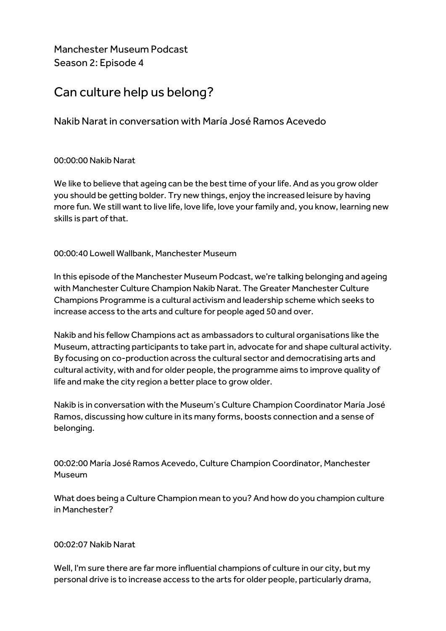Manchester Museum Podcast Season 2: Episode 4

# Can culture help us belong?

Nakib Naratin conversation with María José Ramos Acevedo

# 00:00:00 Nakib Narat

We like to believe that ageing can be the best time of your life. And as you grow older you should be getting bolder. Try new things, enjoy the increased leisure by having more fun. We still want to live life, love life, love your family and, you know, learning new skills is part of that.

# 00:00:40 Lowell Wallbank, Manchester Museum

In this episode of the Manchester Museum Podcast, we're talking belonging and ageing with Manchester Culture Champion Nakib Narat. The Greater Manchester Culture Champions Programme is a cultural activism and leadership scheme which seeks to increase access to the arts and culture for people aged 50 and over.

Nakib and his fellow Champions act as ambassadors to cultural organisations like the Museum, attracting participants to take part in, advocate for and shape cultural activity. By focusing on co-production across the cultural sector and democratising arts and cultural activity, with and for older people, the programme aims to improve quality of life and make the city region a better place to grow older.

Nakib is in conversation with the Museum's Culture Champion Coordinator María José Ramos, discussing how culture in its many forms, boosts connection and a sense of belonging.

00:02:00 María José Ramos Acevedo, Culture Champion Coordinator, Manchester Museum

What does being a Culture Champion mean to you? And how do you champion culture in Manchester?

## 00:02:07 Nakib Narat

Well, I'm sure there are far more influential champions of culture in our city, but my personal drive is to increase access to the arts for older people, particularly drama,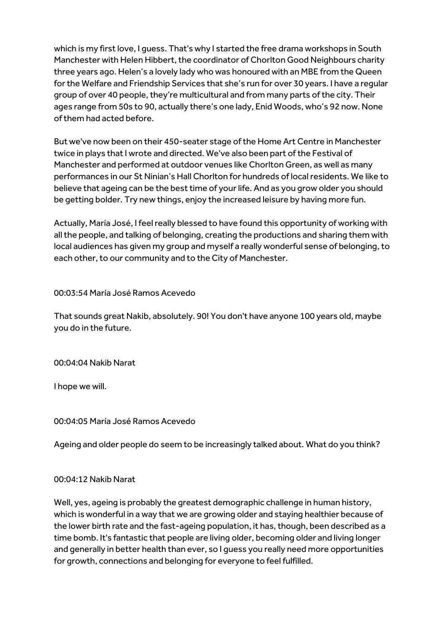which is my first love, I guess. That's why I started the free drama workshops in South Manchester with Helen Hibbert, the coordinator of Chorlton Good Neighbours charity three years ago. Helen's a lovely lady who was honoured with an MBE from the Queen for the Welfare and Friendship Services that she's run for over 30 years. I have a regular group of over 40 people, they're multicultural and from many parts of the city. Their ages range from 50s to 90, actually there's one lady, Enid Woods, who's 92 now. None of them had acted before.

But we've now been on their 450-seater stage of the Home Art Centre in Manchester twice in plays that I wrote and directed. We've also been part of the Festival of Manchester and performed at outdoor venues like Chorlton Green, as well as many performances in our St Ninian's Hall Chorlton for hundreds of local residents. We like to believe that ageing can be the best time of your life. And as you grow older you should be getting bolder. Try new things, enjoy the increased leisure by having more fun.

Actually, María José, I feel really blessed to have found this opportunity of working with all the people, and talking of belonging, creating the productions and sharing them with local audiences has given my group and myself a really wonderful sense of belonging,to each other, to our community and to the City of Manchester.

00:03:54 María José Ramos Acevedo

That sounds great Nakib, absolutely. 90! You don't have anyone 100 years old, maybe you do in the future.

00:04:04 Nakib Narat

I hope we will.

00:04:05 María José Ramos Acevedo

Ageing and older people do seem to be increasingly talked about. What do you think?

#### 00:04:12 Nakib Narat

Well, yes, ageing is probably the greatest demographic challenge in human history, which is wonderful in a way that we are growing older and staying healthier because of the lower birth rate and the fast-ageing population, it has, though, been described as a time bomb. It's fantastic that people are living older, becoming older and living longer and generally in better health than ever, so I guess you really need more opportunities for growth, connections and belonging for everyone to feel fulfilled.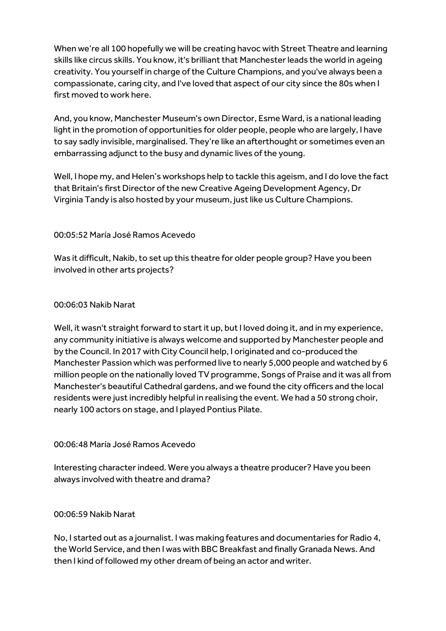When we're all 100 hopefully we will be creating havoc with Street Theatre and learning skills like circus skills. You know, it's brilliant that Manchester leads the world in ageing creativity. You yourself in charge of the Culture Champions, and you've always been a compassionate, caring city, and I've loved that aspect of our city since the 80s when I first moved to work here.

And, you know, Manchester Museum's own Director, Esme Ward, is a national leading light in the promotion of opportunities for older people, people who are largely, I have to say sadly invisible, marginalised. They're like an afterthought or sometimes even an embarrassing adjunct to the busy and dynamic lives of the young.

Well, I hope my, and Helen's workshops help to tackle this ageism, and I do love the fact that Britain's first Director of the new Creative Ageing Development Agency, Dr Virginia Tandy is also hosted by your museum, just like us Culture Champions.

## 00:05:52 María José Ramos Acevedo

Was it difficult, Nakib, to set up this theatre for older people group? Have you been involved in other arts projects?

# 00:06:03 Nakib Narat

Well, it wasn't straight forward to start it up, but I loved doing it, and in my experience, any community initiative is always welcome and supported by Manchester people and by the Council. In 2017 with City Council help, I originated and co-produced the Manchester Passion which was performed live to nearly 5,000 people and watched by 6 million people on the nationally loved TV programme, Songs of Praise and it was all from Manchester's beautiful Cathedral gardens, and we found the city officers and the local residents were just incredibly helpful in realising the event. We had a 50 strong choir, nearly 100 actors on stage, and I played Pontius Pilate.

## 00:06:48 María José Ramos Acevedo

Interesting character indeed. Were you always a theatre producer? Have you been always involved with theatre and drama?

## 00:06:59 Nakib Narat

No, I started out as a journalist. I was making features and documentaries for Radio 4, the World Service, and then I was with BBC Breakfast and finally Granada News. And then I kind of followed my other dream of being an actor and writer.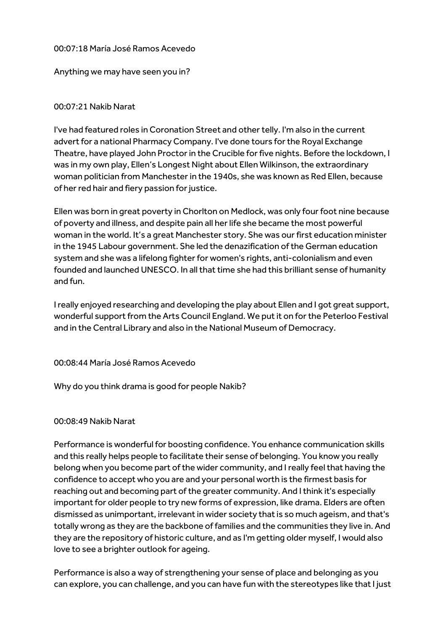## 00:07:18 María José Ramos Acevedo

## Anything we may have seen you in?

## 00:07:21 Nakib Narat

I've had featured roles in Coronation Street and other telly. I'm also in the current advert for a national Pharmacy Company. I've done tours for the Royal Exchange Theatre, have played John Proctor in the Crucible for five nights. Before the lockdown, I was in my own play, Ellen's Longest Night about Ellen Wilkinson, the extraordinary woman politician from Manchester in the 1940s, she was known as Red Ellen, because of her red hair and fiery passion for justice.

Ellen was born in great poverty in Chorlton on Medlock, was only four foot nine because of poverty and illness, and despite pain all her life she became the most powerful woman in the world. It's a great Manchester story. She was our first education minister in the 1945 Labour government. She led the denazification of the German education system and she was a lifelong fighter for women's rights, anti-colonialism and even founded and launched UNESCO. In all that time she had this brilliant sense of humanity and fun.

I really enjoyed researching and developing the play about Ellen and I got great support, wonderful support from the Arts Council England. We put it on for the Peterloo Festival and in the Central Library and also in the National Museum of Democracy.

#### 00:08:44 María José Ramos Acevedo

Why do you think drama is good for people Nakib?

#### 00:08:49 Nakib Narat

Performance is wonderful for boosting confidence. You enhance communication skills and this really helps people to facilitate their sense of belonging. You know you really belong when you become part of the wider community, and I really feel that having the confidence to accept who you are and your personal worth is the firmest basis for reaching out and becoming part of the greater community. And I think it's especially important for older people to try new forms of expression, like drama. Elders are often dismissed as unimportant, irrelevant in wider society that is so much ageism, and that's totally wrong as they are the backbone of families and the communities they live in. And they are the repository of historic culture, and as I'm getting older myself, I would also love to see a brighter outlook for ageing.

Performance is also a way of strengthening your sense of place and belonging as you can explore, you can challenge, and you can have fun with the stereotypes like that I just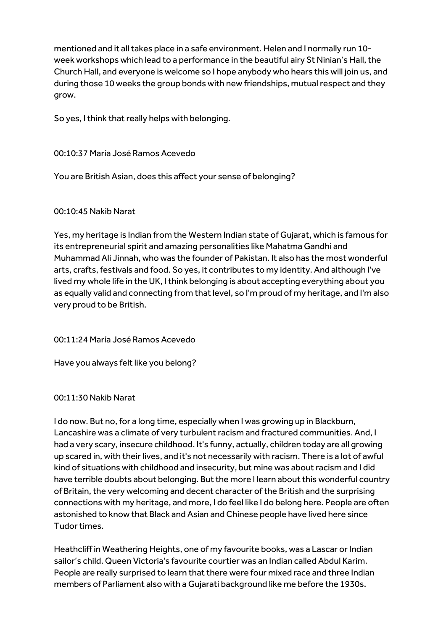mentioned and it all takes place in a safe environment. Helen and I normally run 10 week workshops which lead to a performance in the beautiful airy St Ninian's Hall, the Church Hall, and everyone is welcome so I hope anybody who hears this will join us, and during those 10 weeks the group bonds with new friendships, mutual respect and they grow.

So yes, I think that really helps with belonging.

00:10:37 María José Ramos Acevedo

You are British Asian, does this affect your sense of belonging?

## 00:10:45 Nakib Narat

Yes, my heritage is Indian from the Western Indian state of Gujarat, which is famous for its entrepreneurial spirit and amazing personalities like Mahatma Gandhi and Muhammad Ali Jinnah, who was the founder of Pakistan. It also has the most wonderful arts, crafts, festivals and food. So yes, it contributes to my identity. And although I've lived my whole life in the UK, I think belonging is about accepting everything about you as equally valid and connecting from that level, so I'm proud of my heritage, and I'm also very proud to be British.

00:11:24 María José Ramos Acevedo

Have you always felt like you belong?

00:11:30 Nakib Narat

I do now. But no, for a long time, especially when I was growing up in Blackburn, Lancashire was a climate of very turbulent racism and fractured communities. And, I had a very scary, insecure childhood. It's funny, actually, children today are all growing up scared in, with their lives, and it's not necessarily with racism. There is a lot of awful kind of situations with childhood and insecurity, but mine was about racism and I did have terrible doubts about belonging. But the more I learn about this wonderful country of Britain, the very welcoming and decent character of the British and the surprising connections with my heritage, and more, I do feel like I do belong here. People are often astonished to know that Black and Asian and Chinese people have lived here since Tudor times.

Heathcliff in Weathering Heights, one of my favourite books, was a Lascar or Indian sailor's child. Queen Victoria's favourite courtier was an Indian called Abdul Karim. People are really surprised to learn that there were four mixed race and three Indian members of Parliament also with a Gujarati background like me before the 1930s.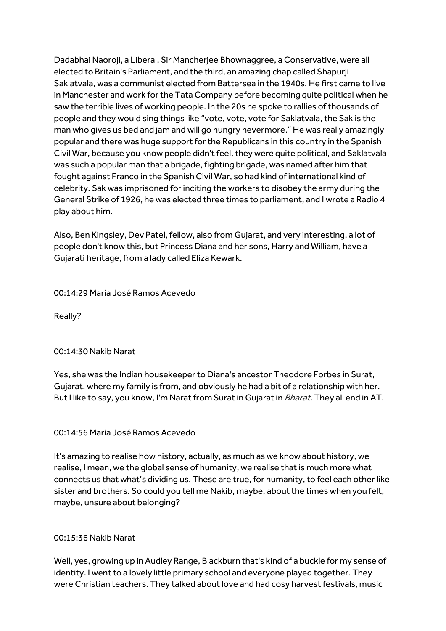Dadabhai Naoroji, a Liberal, Sir Mancherjee Bhownaggree, a Conservative, were all elected to Britain's Parliament, and the third, an amazing chap called Shapurji Saklatvala, was a communist elected from Battersea in the 1940s. He first came to live in Manchester and work for the Tata Company before becoming quite political when he saw the terrible lives of working people. In the 20s he spoke to rallies of thousands of people and they would sing things like "vote, vote, vote for Saklatvala, the Sak is the man who gives us bed and jam and will go hungry nevermore." He was really amazingly popular and there was huge support for the Republicans in this country in the Spanish Civil War, because you know people didn't feel, they were quite political, and Saklatvala was such a popular man that a brigade, fighting brigade, was named after him that fought against Franco in the Spanish Civil War, so had kind of international kind of celebrity. Sak was imprisoned for inciting the workers to disobey the army during the General Strike of 1926, he was elected three times to parliament, and I wrote a Radio 4 play about him.

Also, Ben Kingsley, Dev Patel, fellow, also from Gujarat, and very interesting, a lot of people don't know this, but Princess Diana and her sons, Harry and William, have a Gujarati heritage, from a lady called Eliza Kewark.

00:14:29 María José Ramos Acevedo

Really?

#### 00:14:30 Nakib Narat

Yes, she was the Indian housekeeper to Diana's ancestor Theodore Forbes in Surat, Gujarat, where my family is from, and obviously he had a bit of a relationship with her. But I like to say, you know, I'm Narat from Surat in Gujarat in *Bhārat*. They all end in AT.

## 00:14:56 María José Ramos Acevedo

It's amazing to realise how history, actually, as much as we know about history, we realise, I mean, we the global sense of humanity, we realise that is much more what connects us that what's dividing us. These are true, for humanity, to feel each other like sister and brothers. So could you tell me Nakib, maybe, about the times when you felt, maybe, unsure about belonging?

## 00:15:36 Nakib Narat

Well, yes, growing up in Audley Range, Blackburn that's kind of a buckle for my sense of identity. I went to a lovely little primary school and everyone played together. They were Christian teachers. They talked about love and had cosy harvest festivals, music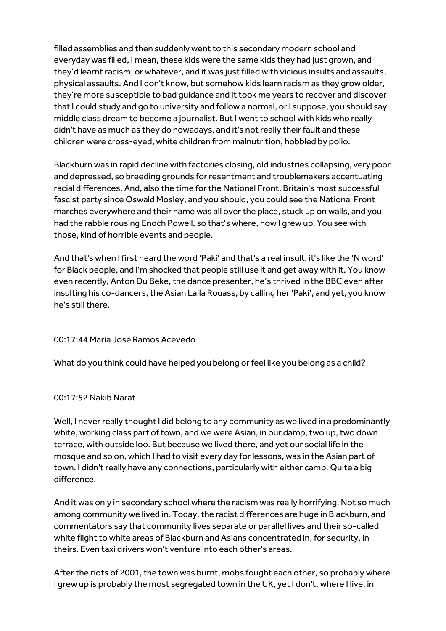filled assemblies and then suddenly went to this secondary modern school and everyday was filled, I mean, these kids were the same kids they had just grown, and they'd learnt racism, or whatever, and it was just filled with vicious insults and assaults, physical assaults. And I don't know, but somehow kids learn racism as they grow older, they're more susceptible to bad guidance and it took me years to recover and discover that I could study and go to university and follow a normal, or I suppose, you should say middle class dream to become a journalist. But I went to school with kids who really didn't have as much as they do nowadays, and it's not really their fault and these children were cross-eyed, white children from malnutrition, hobbled by polio.

Blackburn was in rapid decline with factories closing, old industries collapsing, very poor and depressed, so breeding grounds for resentment and troublemakers accentuating racial differences. And, also the time for the National Front, Britain's most successful fascist party since Oswald Mosley, and you should, you could see the National Front marches everywhere and their name was all over the place, stuck up on walls, and you had the rabble rousing Enoch Powell, so that's where, how I grew up. You see with those, kind of horrible events and people.

And that's when I first heard the word 'Paki' and that's a real insult, it's like the 'N word' for Black people, and I'm shocked that people still use it and get away with it. You know even recently, Anton Du Beke, the dance presenter, he's thrived in the BBC even after insulting his co-dancers, the Asian Laila Rouass, by calling her 'Paki', and yet, you know he's still there.

## 00:17:44 María José Ramos Acevedo

What do you think could have helped you belong or feel like you belong as a child?

#### 00:17:52 Nakib Narat

Well, I never really thought I did belong to any community as we lived in a predominantly white, working class part of town, and we were Asian, in our damp, two up, two down terrace, with outside loo. But because we lived there, and yet our social life in the mosque and so on, which I had to visit every day for lessons, was in the Asian part of town. I didn't really have any connections, particularly with either camp. Quite a big difference.

And it was only in secondary school where the racism was really horrifying. Not so much among community we lived in. Today, the racist differences are huge in Blackburn, and commentators say that community lives separate or parallel lives and their so-called white flight to white areas of Blackburn and Asians concentrated in, for security, in theirs. Even taxi drivers won't venture into each other's areas.

After the riots of 2001, the town was burnt, mobs fought each other, so probably where I grew up is probably the most segregated town in the UK, yet I don't, where I live, in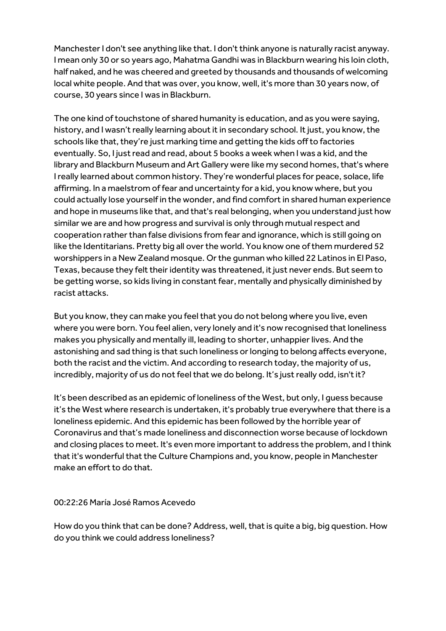Manchester I don't see anything like that. I don't think anyone is naturally racist anyway. I mean only 30 or so years ago, Mahatma Gandhi was in Blackburn wearing his loin cloth, half naked, and he was cheered and greeted by thousands and thousands of welcoming local white people. And that was over, you know, well, it's more than 30 years now, of course, 30 years since I was in Blackburn.

The one kind of touchstone of shared humanity is education, and as you were saying, history, and I wasn't really learning about it in secondary school. It just, you know, the schools like that, they're just marking time and getting the kids off to factories eventually. So, I just read and read, about 5 books a week when I was a kid, and the library and Blackburn Museum and Art Gallery were like my second homes, that's where I really learned about common history. They're wonderful places for peace, solace, life affirming. In a maelstrom of fear and uncertainty for a kid, you know where, but you could actually lose yourself in the wonder, and find comfort in shared human experience and hope in museums like that, and that's real belonging, when you understand just how similar we are and how progress and survival is only through mutual respect and cooperation rather than false divisions from fear and ignorance, which is still going on like the Identitarians. Pretty big all over the world. You know one of them murdered 52 worshippers in a New Zealand mosque. Or the gunman who killed 22 Latinos in El Paso, Texas, because they felt their identity was threatened, it just never ends. But seem to be getting worse, so kids living in constant fear, mentally and physically diminished by racist attacks.

But you know, they can make you feel that you do not belong where you live, even where you were born. You feel alien, very lonely and it's now recognised that loneliness makes you physically and mentally ill, leading to shorter, unhappier lives. And the astonishing and sad thing is that such loneliness or longing to belong affects everyone, both the racist and the victim. And according to research today, the majority of us, incredibly, majority of us do not feel that we do belong. It's just really odd, isn't it?

It's been described as an epidemic of loneliness of the West, but only, I quess because it's the West where research is undertaken, it's probably true everywhere that there is a loneliness epidemic. And this epidemic has been followed by the horrible year of Coronavirus and that's made loneliness and disconnection worse because of lockdown and closing places to meet. It's even more important to address the problem, and I think that it's wonderful that the Culture Champions and, you know, people in Manchester make an effort to do that.

00:22:26 María José Ramos Acevedo

How do you think that can be done? Address, well, that is quite a big, big question. How do you think we could address loneliness?